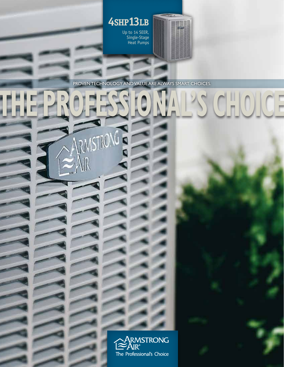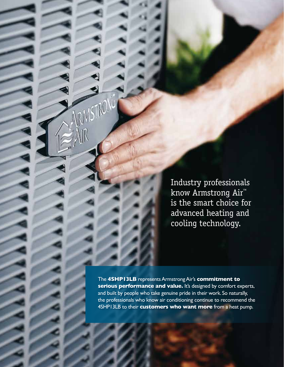Industry professionals know Armstrong Air™ is the smart choice for advanced heating and cooling technology.

The **4SHP13LB** represents Armstrong Air's **commitment to**  serious performance and value. It's designed by comfort experts, and built by people who take genuine pride in their work. So naturally, the professionals who know air conditioning continue to recommend the 4SHP13LB to their **customers who want more** from a heat pump.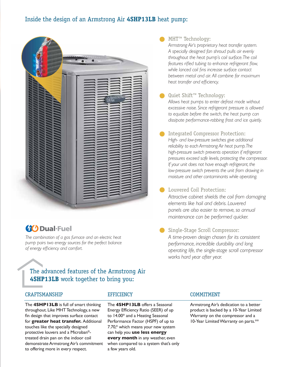## Inside the design of an Armstrong Air **4SHP13LB** heat pump:



# **(10 Dual-Fuel**

*The combination of a gas furnace and an electric heat pump pairs two energy sources for the perfect balance of energy efficiency and comfort.*

## The advanced features of the Armstrong Air **4SHP13LB** work together to bring you:

### CRAFTSMANSHIP

The **4SHP13LB** is full of smart thinking throughout. Like MHT Technology, a new fin design that improves surface contact for **greater heat transfer.** Additional touches like the specially designed protective louvers and a Microban® treated drain pan on the indoor coil demonstrate Armstrong Air's commitment to offering more in every respect.

### **EFFICIENCY**

The **4SHP13LB** offers a Seasonal Energy Efficiency Ratio (SEER) of up to 14.00\* and a Heating Seasonal Performance Factor (HSPF) of up to 7.70,\* which means your new system can help you **use less energy every month** in any weather, even when compared to a system that's only a few years old.

## MHT™ Technology:

*Armstrong Air's proprietary heat transfer system. A specially designed fan shroud pulls air evenly throughout the heat pump's coil surface. The coil features rifled tubing to enhance refrigerant flow, while lanced coil fins increase surface contact between metal and air. All combine for maximum heat transfer and efficiency.*

- Quiet Shift™ Technology: *Allows heat pumps to enter defrost mode without excessive noise. Since refrigerant pressure is allowed to equalize before the switch, the heat pump can dissipate performance-robbing frost and ice quietly.*
- Integrated Compressor Protection: *High- and low-pressure switches give additional reliability to each Armstrong Air heat pump. The high-pressure switch prevents operation if refrigerant pressures exceed safe levels, protecting the compressor. If your unit does not have enough refrigerant, the low-pressure switch prevents the unit from drawing in moisture and other contaminants while operating.*
- Louvered Coil Protection: *Attractive cabinet shields the coil from damaging elements like hail and debris. Louvered panels are also easier to remove, so annual maintenance can be performed quicker.*
- Single-Stage Scroll Compressor: *A time-proven design chosen for its consistent performance, incredible durability and long operating life, the single-stage scroll compressor works hard year after year.*

### COMMITMENT

Armstrong Air's dedication to a better product is backed by a 10-Year Limited Warranty on the compressor and a 10-Year Limited Warranty on parts.\*\*